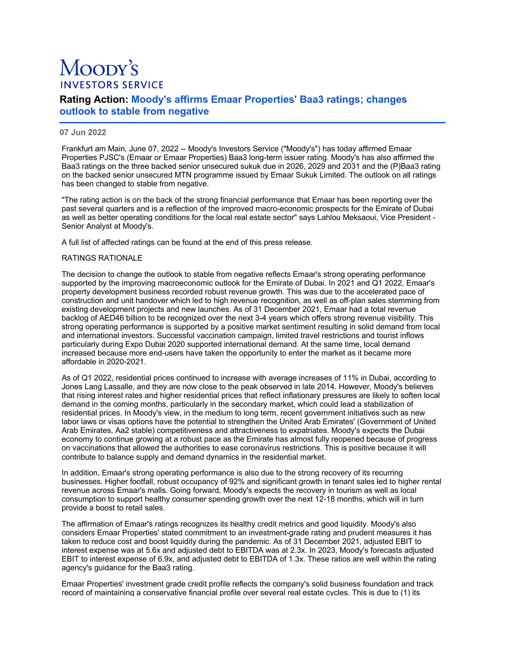# Moopy's **INVESTORS SERVICE**

# **Rating Action: Moody's affirms Emaar Properties' Baa3 ratings; changes outlook to stable from negative**

## **07 Jun 2022**

Frankfurt am Main, June 07, 2022 -- Moody's Investors Service ("Moody's") has today affirmed Emaar Properties PJSC's (Emaar or Emaar Properties) Baa3 long-term issuer rating. Moody's has also affirmed the Baa3 ratings on the three backed senior unsecured sukuk due in 2026, 2029 and 2031 and the (P)Baa3 rating on the backed senior unsecured MTN programme issued by Emaar Sukuk Limited. The outlook on all ratings has been changed to stable from negative.

"The rating action is on the back of the strong financial performance that Emaar has been reporting over the past several quarters and is a reflection of the improved macro-economic prospects for the Emirate of Dubai as well as better operating conditions for the local real estate sector" says Lahlou Meksaoui, Vice President - Senior Analyst at Moody's.

A full list of affected ratings can be found at the end of this press release.

### RATINGS RATIONALE

The decision to change the outlook to stable from negative reflects Emaar's strong operating performance supported by the improving macroeconomic outlook for the Emirate of Dubai. In 2021 and Q1 2022, Emaar's property development business recorded robust revenue growth. This was due to the accelerated pace of construction and unit handover which led to high revenue recognition, as well as off-plan sales stemming from existing development projects and new launches. As of 31 December 2021, Emaar had a total revenue backlog of AED46 billion to be recognized over the next 3-4 years which offers strong revenue visibility. This strong operating performance is supported by a positive market sentiment resulting in solid demand from local and international investors. Successful vaccination campaign, limited travel restrictions and tourist inflows particularly during Expo Dubai 2020 supported international demand. At the same time, local demand increased because more end-users have taken the opportunity to enter the market as it became more affordable in 2020-2021.

As of Q1 2022, residential prices continued to increase with average increases of 11% in Dubai, according to Jones Lang Lassalle, and they are now close to the peak observed in late 2014. However, Moody's believes that rising interest rates and higher residential prices that reflect inflationary pressures are likely to soften local demand in the coming months, particularly in the secondary market, which could lead a stabilization of residential prices. In Moody's view, in the medium to long term, recent government initiatives such as new labor laws or visas options have the potential to strengthen the United Arab Emirates' (Government of United Arab Emirates, Aa2 stable) competitiveness and attractiveness to expatriates. Moody's expects the Dubai economy to continue growing at a robust pace as the Emirate has almost fully reopened because of progress on vaccinations that allowed the authorities to ease coronavirus restrictions. This is positive because it will contribute to balance supply and demand dynamics in the residential market.

In addition, Emaar's strong operating performance is also due to the strong recovery of its recurring businesses. Higher footfall, robust occupancy of 92% and significant growth in tenant sales led to higher rental revenue across Emaar's malls. Going forward, Moody's expects the recovery in tourism as well as local consumption to support healthy consumer spending growth over the next 12-18 months, which will in turn provide a boost to retail sales.

The affirmation of Emaar's ratings recognizes its healthy credit metrics and good liquidity. Moody's also considers Emaar Properties' stated commitment to an investment-grade rating and prudent measures it has taken to reduce cost and boost liquidity during the pandemic. As of 31 December 2021, adjusted EBIT to interest expense was at 5.6x and adjusted debt to EBITDA was at 2.3x. In 2023, Moody's forecasts adjusted EBIT to interest expense of 6.9x, and adjusted debt to EBITDA of 1.3x. These ratios are well within the rating agency's guidance for the Baa3 rating.

Emaar Properties' investment grade credit profile reflects the company's solid business foundation and track record of maintaining a conservative financial profile over several real estate cycles. This is due to (1) its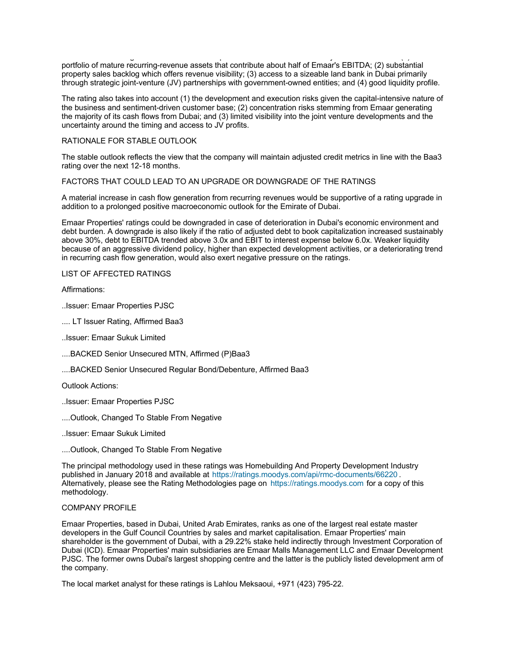record of maintaining a conservative financial profile over several real estate cycles. This is due to (1) its portfolio of mature recurring-revenue assets that contribute about half of Emaar's EBITDA; (2) substantial property sales backlog which offers revenue visibility; (3) access to a sizeable land bank in Dubai primarily through strategic joint-venture (JV) partnerships with government-owned entities; and (4) good liquidity profile.

The rating also takes into account (1) the development and execution risks given the capital-intensive nature of the business and sentiment-driven customer base; (2) concentration risks stemming from Emaar generating the majority of its cash flows from Dubai; and (3) limited visibility into the joint venture developments and the uncertainty around the timing and access to JV profits.

#### RATIONALE FOR STABLE OUTLOOK

The stable outlook reflects the view that the company will maintain adjusted credit metrics in line with the Baa3 rating over the next 12-18 months.

#### FACTORS THAT COULD LEAD TO AN UPGRADE OR DOWNGRADE OF THE RATINGS

A material increase in cash flow generation from recurring revenues would be supportive of a rating upgrade in addition to a prolonged positive macroeconomic outlook for the Emirate of Dubai.

Emaar Properties' ratings could be downgraded in case of deterioration in Dubai's economic environment and debt burden. A downgrade is also likely if the ratio of adjusted debt to book capitalization increased sustainably above 30%, debt to EBITDA trended above 3.0x and EBIT to interest expense below 6.0x. Weaker liquidity because of an aggressive dividend policy, higher than expected development activities, or a deteriorating trend in recurring cash flow generation, would also exert negative pressure on the ratings.

#### LIST OF AFFECTED RATINGS

Affirmations:

- ..Issuer: Emaar Properties PJSC
- .... LT Issuer Rating, Affirmed Baa3
- ..Issuer: Emaar Sukuk Limited
- ....BACKED Senior Unsecured MTN, Affirmed (P)Baa3
- ....BACKED Senior Unsecured Regular Bond/Debenture, Affirmed Baa3

Outlook Actions:

- ..Issuer: Emaar Properties PJSC
- ....Outlook, Changed To Stable From Negative
- ..Issuer: Emaar Sukuk Limited
- ....Outlook, Changed To Stable From Negative

The principal methodology used in these ratings was Homebuilding And Property Development Industry published in January 2018 and available at <https://ratings.moodys.com/api/rmc-documents/66220> . Alternatively, please see the Rating Methodologies page on [https://ratings.moodys.com](https://ratings.moodys.com/) for a copy of this methodology.

#### COMPANY PROFILE

Emaar Properties, based in Dubai, United Arab Emirates, ranks as one of the largest real estate master developers in the Gulf Council Countries by sales and market capitalisation. Emaar Properties' main shareholder is the government of Dubai, with a 29.22% stake held indirectly through Investment Corporation of Dubai (ICD). Emaar Properties' main subsidiaries are Emaar Malls Management LLC and Emaar Development PJSC. The former owns Dubai's largest shopping centre and the latter is the publicly listed development arm of the company.

The local market analyst for these ratings is Lahlou Meksaoui, +971 (423) 795-22.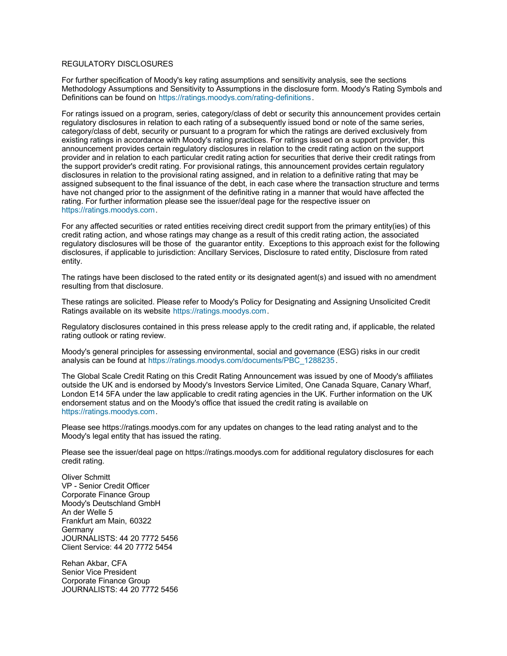#### REGULATORY DISCLOSURES

For further specification of Moody's key rating assumptions and sensitivity analysis, see the sections Methodology Assumptions and Sensitivity to Assumptions in the disclosure form. Moody's Rating Symbols and Definitions can be found on<https://ratings.moodys.com/rating-definitions>.

For ratings issued on a program, series, category/class of debt or security this announcement provides certain regulatory disclosures in relation to each rating of a subsequently issued bond or note of the same series, category/class of debt, security or pursuant to a program for which the ratings are derived exclusively from existing ratings in accordance with Moody's rating practices. For ratings issued on a support provider, this announcement provides certain regulatory disclosures in relation to the credit rating action on the support provider and in relation to each particular credit rating action for securities that derive their credit ratings from the support provider's credit rating. For provisional ratings, this announcement provides certain regulatory disclosures in relation to the provisional rating assigned, and in relation to a definitive rating that may be assigned subsequent to the final issuance of the debt, in each case where the transaction structure and terms have not changed prior to the assignment of the definitive rating in a manner that would have affected the rating. For further information please see the issuer/deal page for the respective issuer on [https://ratings.moodys.com](https://ratings.moodys.com/).

For any affected securities or rated entities receiving direct credit support from the primary entity(ies) of this credit rating action, and whose ratings may change as a result of this credit rating action, the associated regulatory disclosures will be those of the guarantor entity. Exceptions to this approach exist for the following disclosures, if applicable to jurisdiction: Ancillary Services, Disclosure to rated entity, Disclosure from rated entity.

The ratings have been disclosed to the rated entity or its designated agent(s) and issued with no amendment resulting from that disclosure.

These ratings are solicited. Please refer to Moody's Policy for Designating and Assigning Unsolicited Credit Ratings available on its website [https://ratings.moodys.com](https://ratings.moodys.com/).

Regulatory disclosures contained in this press release apply to the credit rating and, if applicable, the related rating outlook or rating review.

Moody's general principles for assessing environmental, social and governance (ESG) risks in our credit analysis can be found at [https://ratings.moodys.com/documents/PBC\\_1288235](https://ratings.moodys.com/documents/PBC_1288235).

The Global Scale Credit Rating on this Credit Rating Announcement was issued by one of Moody's affiliates outside the UK and is endorsed by Moody's Investors Service Limited, One Canada Square, Canary Wharf, London E14 5FA under the law applicable to credit rating agencies in the UK. Further information on the UK endorsement status and on the Moody's office that issued the credit rating is available on [https://ratings.moodys.com](https://ratings.moodys.com/).

Please see https://ratings.moodys.com for any updates on changes to the lead rating analyst and to the Moody's legal entity that has issued the rating.

Please see the issuer/deal page on https://ratings.moodys.com for additional regulatory disclosures for each credit rating.

Oliver Schmitt VP - Senior Credit Officer Corporate Finance Group Moody's Deutschland GmbH An der Welle 5 Frankfurt am Main, 60322 **Germany** JOURNALISTS: 44 20 7772 5456 Client Service: 44 20 7772 5454

Rehan Akbar, CFA Senior Vice President Corporate Finance Group JOURNALISTS: 44 20 7772 5456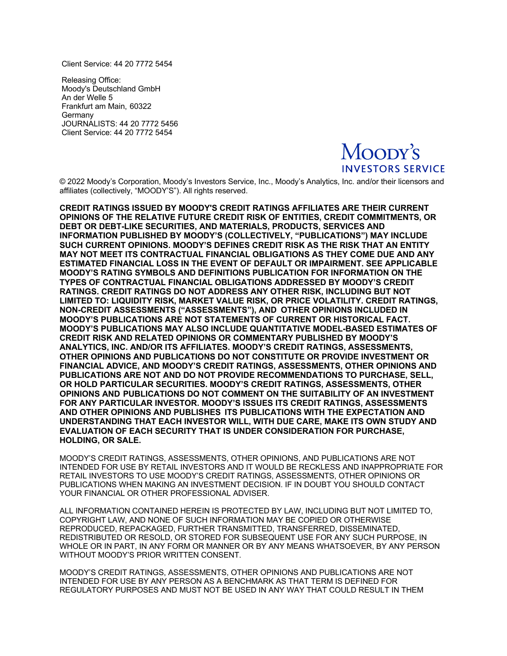Client Service: 44 20 7772 5454

Releasing Office: Moody's Deutschland GmbH An der Welle 5 Frankfurt am Main, 60322 **Germany** JOURNALISTS: 44 20 7772 5456 Client Service: 44 20 7772 5454

> Moopy's **INVESTORS SERVICE**

© 2022 Moody's Corporation, Moody's Investors Service, Inc., Moody's Analytics, Inc. and/or their licensors and affiliates (collectively, "MOODY'S"). All rights reserved.

**CREDIT RATINGS ISSUED BY MOODY'S CREDIT RATINGS AFFILIATES ARE THEIR CURRENT OPINIONS OF THE RELATIVE FUTURE CREDIT RISK OF ENTITIES, CREDIT COMMITMENTS, OR DEBT OR DEBT-LIKE SECURITIES, AND MATERIALS, PRODUCTS, SERVICES AND INFORMATION PUBLISHED BY MOODY'S (COLLECTIVELY, "PUBLICATIONS") MAY INCLUDE SUCH CURRENT OPINIONS. MOODY'S DEFINES CREDIT RISK AS THE RISK THAT AN ENTITY MAY NOT MEET ITS CONTRACTUAL FINANCIAL OBLIGATIONS AS THEY COME DUE AND ANY ESTIMATED FINANCIAL LOSS IN THE EVENT OF DEFAULT OR IMPAIRMENT. SEE APPLICABLE MOODY'S RATING SYMBOLS AND DEFINITIONS PUBLICATION FOR INFORMATION ON THE TYPES OF CONTRACTUAL FINANCIAL OBLIGATIONS ADDRESSED BY MOODY'S CREDIT RATINGS. CREDIT RATINGS DO NOT ADDRESS ANY OTHER RISK, INCLUDING BUT NOT LIMITED TO: LIQUIDITY RISK, MARKET VALUE RISK, OR PRICE VOLATILITY. CREDIT RATINGS, NON-CREDIT ASSESSMENTS ("ASSESSMENTS"), AND OTHER OPINIONS INCLUDED IN MOODY'S PUBLICATIONS ARE NOT STATEMENTS OF CURRENT OR HISTORICAL FACT. MOODY'S PUBLICATIONS MAY ALSO INCLUDE QUANTITATIVE MODEL-BASED ESTIMATES OF CREDIT RISK AND RELATED OPINIONS OR COMMENTARY PUBLISHED BY MOODY'S ANALYTICS, INC. AND/OR ITS AFFILIATES. MOODY'S CREDIT RATINGS, ASSESSMENTS, OTHER OPINIONS AND PUBLICATIONS DO NOT CONSTITUTE OR PROVIDE INVESTMENT OR FINANCIAL ADVICE, AND MOODY'S CREDIT RATINGS, ASSESSMENTS, OTHER OPINIONS AND PUBLICATIONS ARE NOT AND DO NOT PROVIDE RECOMMENDATIONS TO PURCHASE, SELL, OR HOLD PARTICULAR SECURITIES. MOODY'S CREDIT RATINGS, ASSESSMENTS, OTHER OPINIONS AND PUBLICATIONS DO NOT COMMENT ON THE SUITABILITY OF AN INVESTMENT FOR ANY PARTICULAR INVESTOR. MOODY'S ISSUES ITS CREDIT RATINGS, ASSESSMENTS AND OTHER OPINIONS AND PUBLISHES ITS PUBLICATIONS WITH THE EXPECTATION AND UNDERSTANDING THAT EACH INVESTOR WILL, WITH DUE CARE, MAKE ITS OWN STUDY AND EVALUATION OF EACH SECURITY THAT IS UNDER CONSIDERATION FOR PURCHASE, HOLDING, OR SALE.** 

MOODY'S CREDIT RATINGS, ASSESSMENTS, OTHER OPINIONS, AND PUBLICATIONS ARE NOT INTENDED FOR USE BY RETAIL INVESTORS AND IT WOULD BE RECKLESS AND INAPPROPRIATE FOR RETAIL INVESTORS TO USE MOODY'S CREDIT RATINGS, ASSESSMENTS, OTHER OPINIONS OR PUBLICATIONS WHEN MAKING AN INVESTMENT DECISION. IF IN DOUBT YOU SHOULD CONTACT YOUR FINANCIAL OR OTHER PROFESSIONAL ADVISER.

ALL INFORMATION CONTAINED HEREIN IS PROTECTED BY LAW, INCLUDING BUT NOT LIMITED TO, COPYRIGHT LAW, AND NONE OF SUCH INFORMATION MAY BE COPIED OR OTHERWISE REPRODUCED, REPACKAGED, FURTHER TRANSMITTED, TRANSFERRED, DISSEMINATED, REDISTRIBUTED OR RESOLD, OR STORED FOR SUBSEQUENT USE FOR ANY SUCH PURPOSE, IN WHOLE OR IN PART, IN ANY FORM OR MANNER OR BY ANY MEANS WHATSOEVER, BY ANY PERSON WITHOUT MOODY'S PRIOR WRITTEN CONSENT.

MOODY'S CREDIT RATINGS, ASSESSMENTS, OTHER OPINIONS AND PUBLICATIONS ARE NOT INTENDED FOR USE BY ANY PERSON AS A BENCHMARK AS THAT TERM IS DEFINED FOR REGULATORY PURPOSES AND MUST NOT BE USED IN ANY WAY THAT COULD RESULT IN THEM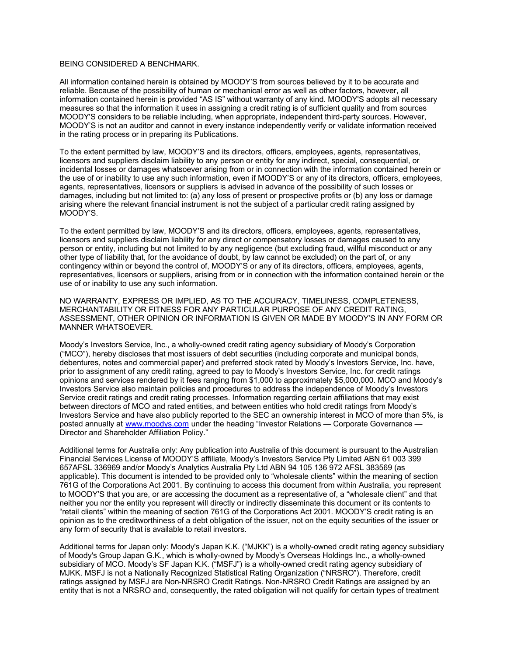#### BEING CONSIDERED A BENCHMARK.

All information contained herein is obtained by MOODY'S from sources believed by it to be accurate and reliable. Because of the possibility of human or mechanical error as well as other factors, however, all information contained herein is provided "AS IS" without warranty of any kind. MOODY'S adopts all necessary measures so that the information it uses in assigning a credit rating is of sufficient quality and from sources MOODY'S considers to be reliable including, when appropriate, independent third-party sources. However, MOODY'S is not an auditor and cannot in every instance independently verify or validate information received in the rating process or in preparing its Publications.

To the extent permitted by law, MOODY'S and its directors, officers, employees, agents, representatives, licensors and suppliers disclaim liability to any person or entity for any indirect, special, consequential, or incidental losses or damages whatsoever arising from or in connection with the information contained herein or the use of or inability to use any such information, even if MOODY'S or any of its directors, officers, employees, agents, representatives, licensors or suppliers is advised in advance of the possibility of such losses or damages, including but not limited to: (a) any loss of present or prospective profits or (b) any loss or damage arising where the relevant financial instrument is not the subject of a particular credit rating assigned by MOODY'S.

To the extent permitted by law, MOODY'S and its directors, officers, employees, agents, representatives, licensors and suppliers disclaim liability for any direct or compensatory losses or damages caused to any person or entity, including but not limited to by any negligence (but excluding fraud, willful misconduct or any other type of liability that, for the avoidance of doubt, by law cannot be excluded) on the part of, or any contingency within or beyond the control of, MOODY'S or any of its directors, officers, employees, agents, representatives, licensors or suppliers, arising from or in connection with the information contained herein or the use of or inability to use any such information.

NO WARRANTY, EXPRESS OR IMPLIED, AS TO THE ACCURACY, TIMELINESS, COMPLETENESS, MERCHANTABILITY OR FITNESS FOR ANY PARTICULAR PURPOSE OF ANY CREDIT RATING, ASSESSMENT, OTHER OPINION OR INFORMATION IS GIVEN OR MADE BY MOODY'S IN ANY FORM OR MANNER WHATSOEVER.

Moody's Investors Service, Inc., a wholly-owned credit rating agency subsidiary of Moody's Corporation ("MCO"), hereby discloses that most issuers of debt securities (including corporate and municipal bonds, debentures, notes and commercial paper) and preferred stock rated by Moody's Investors Service, Inc. have, prior to assignment of any credit rating, agreed to pay to Moody's Investors Service, Inc. for credit ratings opinions and services rendered by it fees ranging from \$1,000 to approximately \$5,000,000. MCO and Moody's Investors Service also maintain policies and procedures to address the independence of Moody's Investors Service credit ratings and credit rating processes. Information regarding certain affiliations that may exist between directors of MCO and rated entities, and between entities who hold credit ratings from Moody's Investors Service and have also publicly reported to the SEC an ownership interest in MCO of more than 5%, is posted annually at [www.moodys.com](http://www.moodys.com/) under the heading "Investor Relations — Corporate Governance — Director and Shareholder Affiliation Policy."

Additional terms for Australia only: Any publication into Australia of this document is pursuant to the Australian Financial Services License of MOODY'S affiliate, Moody's Investors Service Pty Limited ABN 61 003 399 657AFSL 336969 and/or Moody's Analytics Australia Pty Ltd ABN 94 105 136 972 AFSL 383569 (as applicable). This document is intended to be provided only to "wholesale clients" within the meaning of section 761G of the Corporations Act 2001. By continuing to access this document from within Australia, you represent to MOODY'S that you are, or are accessing the document as a representative of, a "wholesale client" and that neither you nor the entity you represent will directly or indirectly disseminate this document or its contents to "retail clients" within the meaning of section 761G of the Corporations Act 2001. MOODY'S credit rating is an opinion as to the creditworthiness of a debt obligation of the issuer, not on the equity securities of the issuer or any form of security that is available to retail investors.

Additional terms for Japan only: Moody's Japan K.K. ("MJKK") is a wholly-owned credit rating agency subsidiary of Moody's Group Japan G.K., which is wholly-owned by Moody's Overseas Holdings Inc., a wholly-owned subsidiary of MCO. Moody's SF Japan K.K. ("MSFJ") is a wholly-owned credit rating agency subsidiary of MJKK. MSFJ is not a Nationally Recognized Statistical Rating Organization ("NRSRO"). Therefore, credit ratings assigned by MSFJ are Non-NRSRO Credit Ratings. Non-NRSRO Credit Ratings are assigned by an entity that is not a NRSRO and, consequently, the rated obligation will not qualify for certain types of treatment